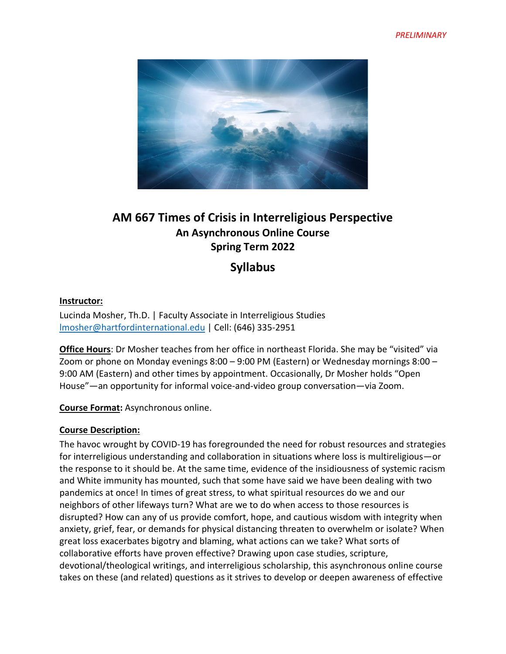

# **AM 667 Times of Crisis in Interreligious Perspective An Asynchronous Online Course Spring Term 2022**

**Syllabus**

#### **Instructor:**

Lucinda Mosher, Th.D. | Faculty Associate in Interreligious Studies [lmosher@hartfordinternational.edu](mailto:lmosher@hartfordinternational.edu) | Cell: (646) 335-2951

**Office Hours**: Dr Mosher teaches from her office in northeast Florida. She may be "visited" via Zoom or phone on Monday evenings 8:00 – 9:00 PM (Eastern) or Wednesday mornings 8:00 – 9:00 AM (Eastern) and other times by appointment. Occasionally, Dr Mosher holds "Open House"—an opportunity for informal voice-and-video group conversation—via Zoom.

**Course Format:** Asynchronous online.

#### **Course Description:**

The havoc wrought by COVID-19 has foregrounded the need for robust resources and strategies for interreligious understanding and collaboration in situations where loss is multireligious—or the response to it should be. At the same time, evidence of the insidiousness of systemic racism and White immunity has mounted, such that some have said we have been dealing with two pandemics at once! In times of great stress, to what spiritual resources do we and our neighbors of other lifeways turn? What are we to do when access to those resources is disrupted? How can any of us provide comfort, hope, and cautious wisdom with integrity when anxiety, grief, fear, or demands for physical distancing threaten to overwhelm or isolate? When great loss exacerbates bigotry and blaming, what actions can we take? What sorts of collaborative efforts have proven effective? Drawing upon case studies, scripture, devotional/theological writings, and interreligious scholarship, this asynchronous online course takes on these (and related) questions as it strives to develop or deepen awareness of effective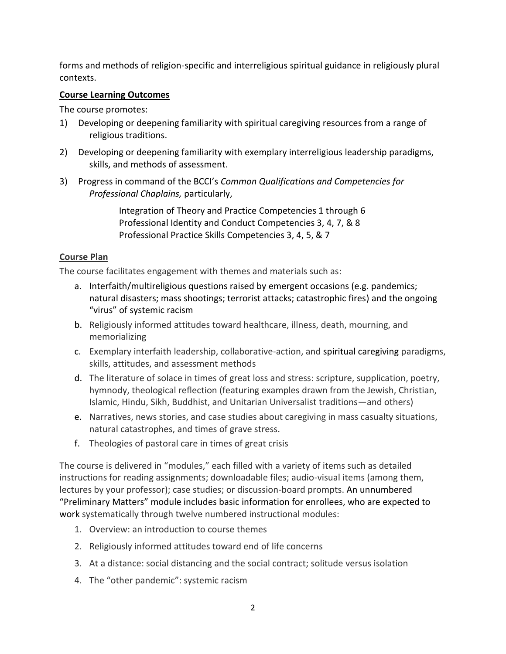forms and methods of religion-specific and interreligious spiritual guidance in religiously plural contexts.

## **Course Learning Outcomes**

The course promotes:

- 1) Developing or deepening familiarity with spiritual caregiving resources from a range of religious traditions.
- 2) Developing or deepening familiarity with exemplary interreligious leadership paradigms, skills, and methods of assessment.
- 3) Progress in command of the BCCI's *Common Qualifications and Competencies for Professional Chaplains,* particularly,

Integration of Theory and Practice Competencies 1 through 6 Professional Identity and Conduct Competencies 3, 4, 7, & 8 Professional Practice Skills Competencies 3, 4, 5, & 7

# **Course Plan**

The course facilitates engagement with themes and materials such as:

- a. Interfaith/multireligious questions raised by emergent occasions (e.g. pandemics; natural disasters; mass shootings; terrorist attacks; catastrophic fires) and the ongoing "virus" of systemic racism
- b. Religiously informed attitudes toward healthcare, illness, death, mourning, and memorializing
- c. Exemplary interfaith leadership, collaborative-action, and spiritual caregiving paradigms, skills, attitudes, and assessment methods
- d. The literature of solace in times of great loss and stress: scripture, supplication, poetry, hymnody, theological reflection (featuring examples drawn from the Jewish, Christian, Islamic, Hindu, Sikh, Buddhist, and Unitarian Universalist traditions—and others)
- e. Narratives, news stories, and case studies about caregiving in mass casualty situations, natural catastrophes, and times of grave stress.
- f. Theologies of pastoral care in times of great crisis

The course is delivered in "modules," each filled with a variety of items such as detailed instructions for reading assignments; downloadable files; audio-visual items (among them, lectures by your professor); case studies; or discussion-board prompts. An unnumbered "Preliminary Matters" module includes basic information for enrollees, who are expected to work systematically through twelve numbered instructional modules:

- 1. Overview: an introduction to course themes
- 2. Religiously informed attitudes toward end of life concerns
- 3. At a distance: social distancing and the social contract; solitude versus isolation
- 4. The "other pandemic": systemic racism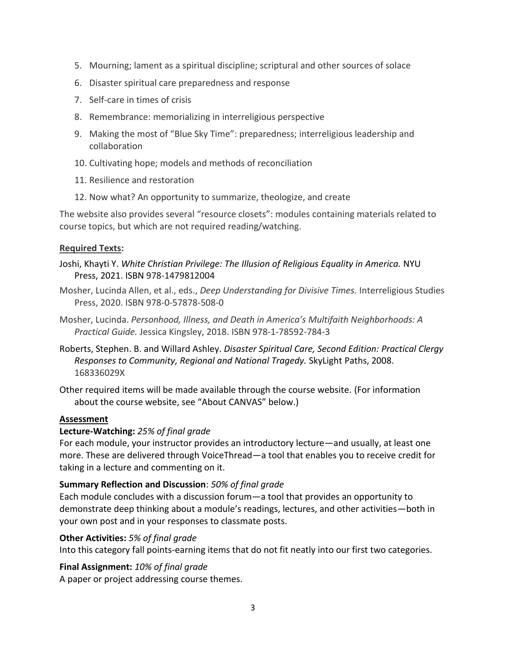- 5. Mourning; lament as a spiritual discipline; scriptural and other sources of solace
- 6. Disaster spiritual care preparedness and response
- 7. Self-care in times of crisis
- 8. Remembrance: memorializing in interreligious perspective
- 9. Making the most of "Blue Sky Time": preparedness; interreligious leadership and collaboration
- 10. Cultivating hope; models and methods of reconciliation
- 11. Resilience and restoration
- 12. Now what? An opportunity to summarize, theologize, and create

The website also provides several "resource closets": modules containing materials related to course topics, but which are not required reading/watching.

## **Required Texts:**

- Joshi, Khayti Y. *White Christian Privilege: The Illusion of Religious Equality in America.* NYU Press, 2021. ISBN 978-1479812004
- Mosher, Lucinda Allen, et al., eds., *Deep Understanding for Divisive Times.* Interreligious Studies Press, 2020. ISBN 978-0-57878-508-0
- Mosher, Lucinda. *Personhood, Illness, and Death in America's Multifaith Neighborhoods: A Practical Guide.* Jessica Kingsley, 2018. ISBN 978-1-78592-784-3
- Roberts, Stephen. B. and Willard Ashley. *Disaster Spiritual Care, Second Edition: Practical Clergy Responses to Community, Regional and National Tragedy.* SkyLight Paths, 2008. 168336029X
- Other required items will be made available through the course website. (For information about the course website, see "About CANVAS" below.)

## **Assessment**

## **Lecture-Watching:** *25% of final grade*

For each module, your instructor provides an introductory lecture—and usually, at least one more. These are delivered through VoiceThread—a tool that enables you to receive credit for taking in a lecture and commenting on it.

## **Summary Reflection and Discussion**: *50% of final grade*

Each module concludes with a discussion forum—a tool that provides an opportunity to demonstrate deep thinking about a module's readings, lectures, and other activities—both in your own post and in your responses to classmate posts.

## **Other Activities:** *5% of final grade*

Into this category fall points-earning items that do not fit neatly into our first two categories.

## **Final Assignment:** *10% of final grade*

A paper or project addressing course themes.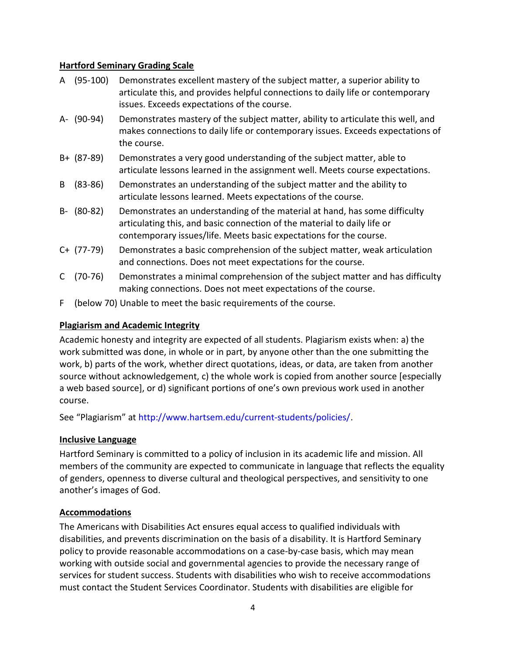## **Hartford Seminary Grading Scale**

- A (95‐100) Demonstrates excellent mastery of the subject matter, a superior ability to articulate this, and provides helpful connections to daily life or contemporary issues. Exceeds expectations of the course.
- A‐ (90‐94) Demonstrates mastery of the subject matter, ability to articulate this well, and makes connections to daily life or contemporary issues. Exceeds expectations of the course.
- B+ (87‐89) Demonstrates a very good understanding of the subject matter, able to articulate lessons learned in the assignment well. Meets course expectations.
- B (83‐86) Demonstrates an understanding of the subject matter and the ability to articulate lessons learned. Meets expectations of the course.
- B‐ (80‐82) Demonstrates an understanding of the material at hand, has some difficulty articulating this, and basic connection of the material to daily life or contemporary issues/life. Meets basic expectations for the course.
- C+ (77‐79) Demonstrates a basic comprehension of the subject matter, weak articulation and connections. Does not meet expectations for the course.
- C (70‐76) Demonstrates a minimal comprehension of the subject matter and has difficulty making connections. Does not meet expectations of the course.
- F (below 70) Unable to meet the basic requirements of the course.

## **Plagiarism and Academic Integrity**

Academic honesty and integrity are expected of all students. Plagiarism exists when: a) the work submitted was done, in whole or in part, by anyone other than the one submitting the work, b) parts of the work, whether direct quotations, ideas, or data, are taken from another source without acknowledgement, c) the whole work is copied from another source [especially a web based source], or d) significant portions of one's own previous work used in another course.

See "Plagiarism" at http://www.hartsem.edu/current‐students/policies/.

## **Inclusive Language**

Hartford Seminary is committed to a policy of inclusion in its academic life and mission. All members of the community are expected to communicate in language that reflects the equality of genders, openness to diverse cultural and theological perspectives, and sensitivity to one another's images of God.

## **Accommodations**

The Americans with Disabilities Act ensures equal access to qualified individuals with disabilities, and prevents discrimination on the basis of a disability. It is Hartford Seminary policy to provide reasonable accommodations on a case‐by‐case basis, which may mean working with outside social and governmental agencies to provide the necessary range of services for student success. Students with disabilities who wish to receive accommodations must contact the Student Services Coordinator. Students with disabilities are eligible for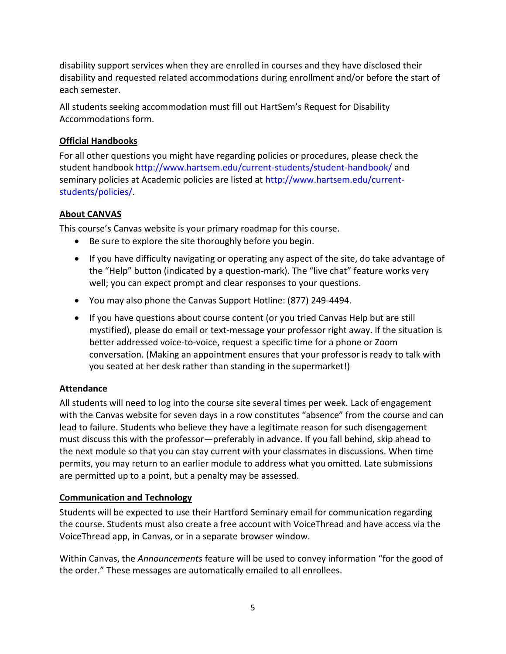disability support services when they are enrolled in courses and they have disclosed their disability and requested related accommodations during enrollment and/or before the start of each semester.

All students seeking accommodation must fill out HartSem's Request for Disability Accommodations form.

## **Official Handbooks**

For all other questions you might have regarding policies or procedures, please check the student handbook http://www.hartsem.edu/current-students/student-handbook/ and seminary policies at Academic policies are listed at http://www.hartsem.edu/currentstudents/policies/.

# **About CANVAS**

This course's Canvas website is your primary roadmap for this course.

- Be sure to explore the site thoroughly before you begin.
- If you have difficulty navigating or operating any aspect of the site, do take advantage of the "Help" button (indicated by a question-mark). The "live chat" feature works very well; you can expect prompt and clear responses to your questions.
- You may also phone the Canvas Support Hotline: (877) 249-4494.
- If you have questions about course content (or you tried Canvas Help but are still mystified), please do email or text-message your professor right away. If the situation is better addressed voice-to-voice, request a specific time for a phone or Zoom conversation. (Making an appointment ensures that your professoris ready to talk with you seated at her desk rather than standing in the supermarket!)

# **Attendance**

All students will need to log into the course site several times per week. Lack of engagement with the Canvas website for seven days in a row constitutes "absence" from the course and can lead to failure. Students who believe they have a legitimate reason for such disengagement must discuss this with the professor—preferably in advance. If you fall behind, skip ahead to the next module so that you can stay current with your classmates in discussions. When time permits, you may return to an earlier module to address what you omitted. Late submissions are permitted up to a point, but a penalty may be assessed.

## **Communication and Technology**

Students will be expected to use their Hartford Seminary email for communication regarding the course. Students must also create a free account with VoiceThread and have access via the VoiceThread app, in Canvas, or in a separate browser window.

Within Canvas, the *Announcements* feature will be used to convey information "for the good of the order." These messages are automatically emailed to all enrollees.